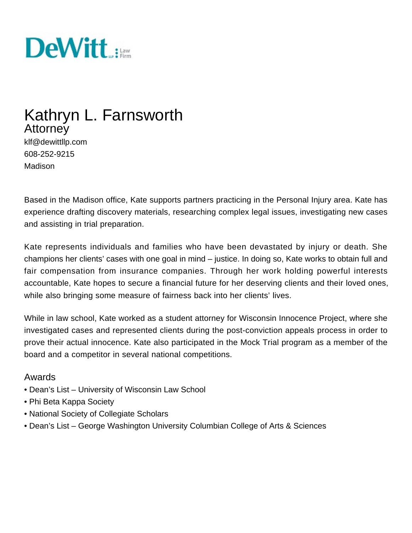

# Kathryn L. Farnsworth **Attorney**

klf@dewittllp.com 608-252-9215 Madison

Based in the Madison office, Kate supports partners practicing in the Personal Injury area. Kate has experience drafting discovery materials, researching complex legal issues, investigating new cases and assisting in trial preparation.

Kate represents individuals and families who have been devastated by injury or death. She champions her clients' cases with one goal in mind – justice. In doing so, Kate works to obtain full and fair compensation from insurance companies. Through her work holding powerful interests accountable, Kate hopes to secure a financial future for her deserving clients and their loved ones, while also bringing some measure of fairness back into her clients' lives.

While in law school, Kate worked as a student attorney for Wisconsin Innocence Project, where she investigated cases and represented clients during the post-conviction appeals process in order to prove their actual innocence. Kate also participated in the Mock Trial program as a member of the board and a competitor in several national competitions.

#### Awards

- Dean's List University of Wisconsin Law School
- Phi Beta Kappa Society
- National Society of Collegiate Scholars
- Dean's List George Washington University Columbian College of Arts & Sciences